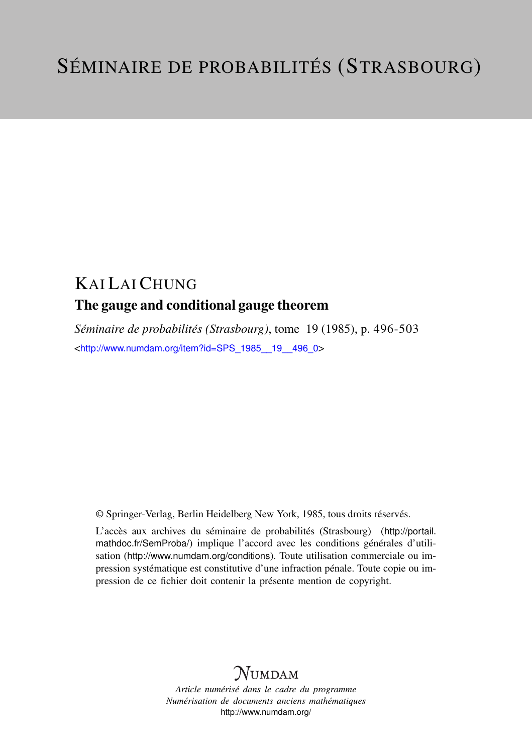## KAI LAI CHUNG The gauge and conditional gauge theorem

*Séminaire de probabilités (Strasbourg)*, tome 19 (1985), p. 496-503 <[http://www.numdam.org/item?id=SPS\\_1985\\_\\_19\\_\\_496\\_0](http://www.numdam.org/item?id=SPS_1985__19__496_0)>

© Springer-Verlag, Berlin Heidelberg New York, 1985, tous droits réservés.

L'accès aux archives du séminaire de probabilités (Strasbourg) ([http://portail.](http://portail.mathdoc.fr/SemProba/) [mathdoc.fr/SemProba/](http://portail.mathdoc.fr/SemProba/)) implique l'accord avec les conditions générales d'utilisation (<http://www.numdam.org/conditions>). Toute utilisation commerciale ou impression systématique est constitutive d'une infraction pénale. Toute copie ou impression de ce fichier doit contenir la présente mention de copyright.

## **NUMDAM**

*Article numérisé dans le cadre du programme Numérisation de documents anciens mathématiques* <http://www.numdam.org/>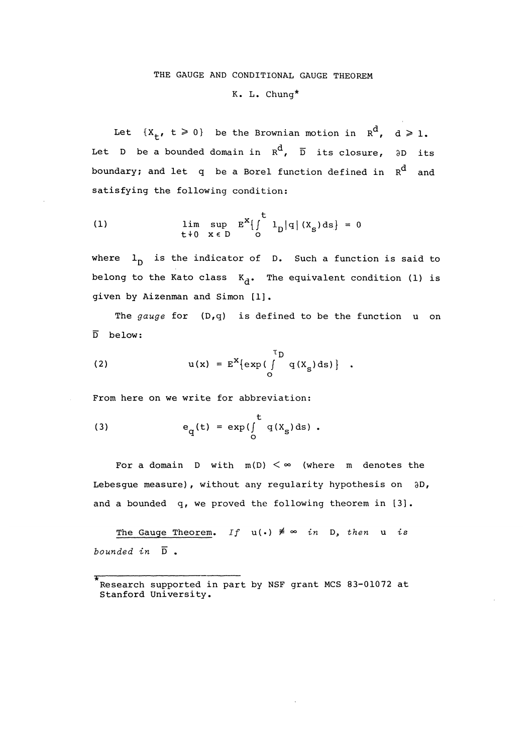## THE GAUGE AND CONDITIONAL GAUGE THEOREM K. L. Chung\*

Let  $\{X_{+}, t \ge 0\}$  be the Brownian motion in  $R^d$ ,  $d \ge 1$ . Let D be a bounded domain in  $R^d$ ,  $\overline{D}$  its closure,  $\partial D$  its boundary; and let q be a Borel function defined in  $R^d$  and satisfying the following condition:

(1) 
$$
\lim_{t \to 0} \sup_{x \in D} E^{x} \left\{ \int_{0}^{t} 1_{D} |q| (x_{S}) ds \right\} = 0
$$

where  $l_n$  is the indicator of D. Such a function is said to belong to the Kato class  $K_d$ . The equivalent condition (1) is given by Aizenman and Simon [1].

The gauge for  $(D,q)$  is defined to be the function  $u$  on  $\overline{D}$  below:

(2) 
$$
u(x) = E^{X} \{ exp\left(\int_{0}^{T} q(X_{S}) ds\right) \} .
$$

. From here on we write for abbreviation:

(3) 
$$
e_q(t) = \exp(\int_0^t q(x_s) ds).
$$

For a domain  $D$  with  $m(D) < \infty$  (where m denotes the Lebesgue measure), without any regularity hypothesis on 3D, and a bounded q, we proved the following theorem in [3].

The Gauge Theorem. If  $u(.) \neq \infty$  in  $D$ , then  $u$  is bounded in  $\overline{D}$ .

<sup>\*</sup> Research supported in part by NSF grant MCS 83-01072 at Stanford University.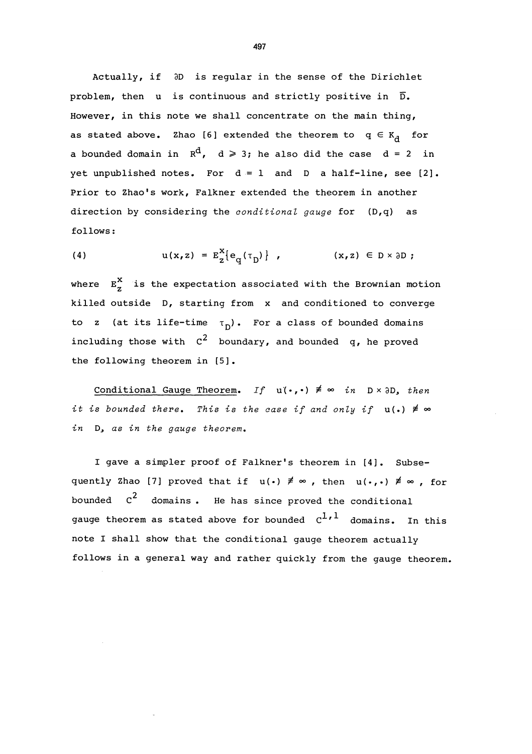Actually, if  $\partial D$  is regular in the sense of the Dirichlet problem, then  $u$  is continuous and strictly positive in  $\overline{D}$ . However, in this note we shall concentrate on the main thing, as stated above. Zhao [6] extended the theorem to  $q \in K_d$  for a bounded domain in  $R^d$ ,  $d \geq 3$ ; he also did the case  $d = 2$  in yet unpublished notes. For  $d = 1$  and D a half-line, see [2]. Prior to Zhao's work, Falkner extended the theorem in another direction by considering the *conditional gauge* for (D,q) as follows:

(4) 
$$
u(x, z) = E_Z^X\{e_q(\tau_D)\}, \qquad (x, z) \in D \times \partial D;
$$

where  $E_{z}^{X}$  is the expectation associated with the Brownian motion killed outside D, starting from x and conditioned to converge to z (at its life-time  $\tau_{\text{D}}$ ). For a class of bounded domains including those with  $c^2$  boundary, and bounded q, he proved the following theorem in [5].

Conditional Gauge Theorem. If  $u(\cdot, \cdot) \neq \infty$  in  $D \times \partial D$ , then it is bounded there. This is the case if and only if  $u(.) \neq \infty$ in D, as in the gauge theorem.

I gave a simpler proof of Falkner's theorem in [4]. Subsequently Zhao [7] proved that if  $u(\cdot) \neq \infty$ , then  $u(\cdot,\cdot) \neq \infty$ , for bounded  $c^2$  domains. He has since proved the conditional gauge theorem as stated above for bounded  $c^{1,1}$  domains. In this note I shall show that the conditional gauge theorem actually follows in a general way and rather quickly from the gauge theorem.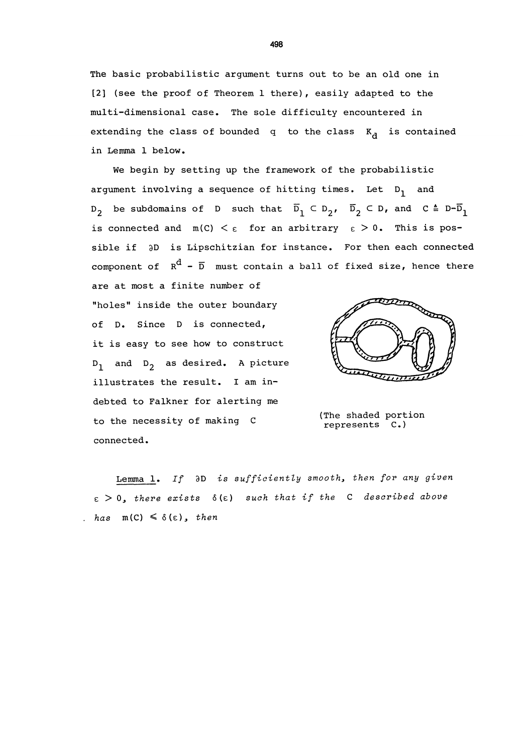The basic probabilistic argument turns out to be an old one in [2] (see the proof of Theorem 1 there), easily adapted to the multi-dimensional case. The sole difficulty encountered in extending the class of bounded q to the class  $K_{d}$  is contained in Lemma 1 below.

We begin by setting up the framework of the probabilistic argument involving a sequence of hitting times. Let  $D_1$  and  $D_2$  be subdomains of D such that  $\overline{D}_1 \subset D_2$ ,  $\overline{D}_2 \subset D$ , and  $C = D-\overline{D}_1$ is connected and  $m(C) < \varepsilon$  for an arbitrary  $\varepsilon > 0$ . This is possible if  $\partial D$  is Lipschitzian for instance. For then each connected component of  $R^d$  -  $\overline{D}$  must contain a ball of fixed size, hence there

"holes" inside the outer boundary of D. Since D is connected, it is easy to see how to construct  $D_1$  and  $D_2$  as desired. A picture illustrates the result. I am indebted to Falkner for alerting me to the necessity of making C connected.

are at most a finite number of



(The shaded portion represents C.)

Lemma 1. If  $\partial D$  is sufficiently smooth, then for any given  $\epsilon > 0$ , there exists  $\delta(\epsilon)$  such that if the C described above . has  $m(C) \leq \delta(\epsilon)$ , then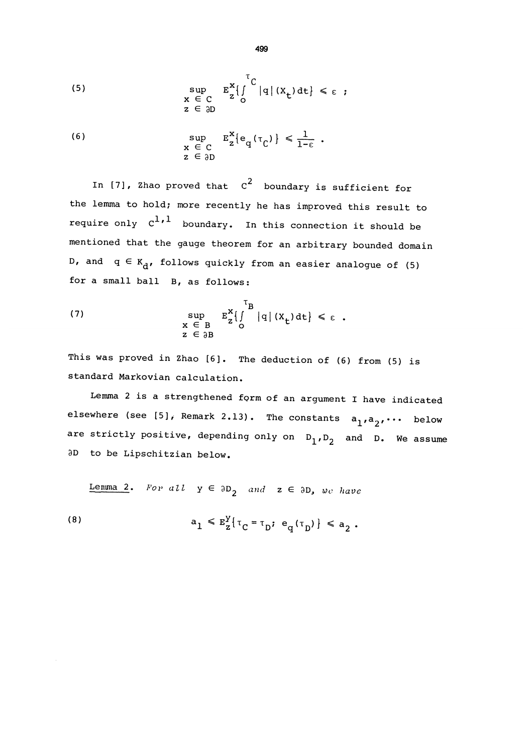(5) 
$$
\sup_{\begin{array}{c} x \in C \\ z \in \partial D \end{array}} E_{z}^{x} \left\{ \int_{0}^{T} |q| (x_{t}) dt \right\} \leq \varepsilon ;
$$

(6) 
$$
\sup_{\substack{\mathbf{x} \in \mathbb{C} \\ \mathbf{z} \in \partial \mathbb{D}}} E_{\mathbf{z}}^{x} \{ e_{q}(\tau_{\mathbb{C}}) \} \leq \frac{1}{1-\epsilon} .
$$

In [7], Zhao proved that  $c^2$  boundary is sufficient for the lemma to hold; more recently he has improved this result to require only  $c^{1,1}$  boundary. In this connection it should be mentioned that the gauge theorem for an arbitrary bounded domain D, and  $q \in K_d$ , follows quickly from an easier analogue of (5) for a small ball B, as follows:

(7) 
$$
\sup_{\begin{array}{c} x \in B \\ z \in \partial B \end{array}} E_{z}^{x} \left\{ \int_{0}^{T_{B}} |q| (x_{t}) dt \right\} \leq \varepsilon.
$$

This was proved in Zhao [6]. The deduction of (6) from (5) is standard Markovian calculation.

Lemma 2 is a strengthened form of an argument I have indicated elsewhere (see [5], Remark 2.13). The constants  $a_1, a_2, \cdots$  below are strictly positive, depending only on  $D_1,D_2$  and D. We assume aD to be Lipschitzian below.

Lenma 2. For all  $y \in \partial D_2$  and  $z \in \partial D$ , we have

(8) 
$$
a_1 \leq E_2^Y \{ \tau_C = \tau_D; e_q(\tau_D) \} \leq a_2
$$
.

499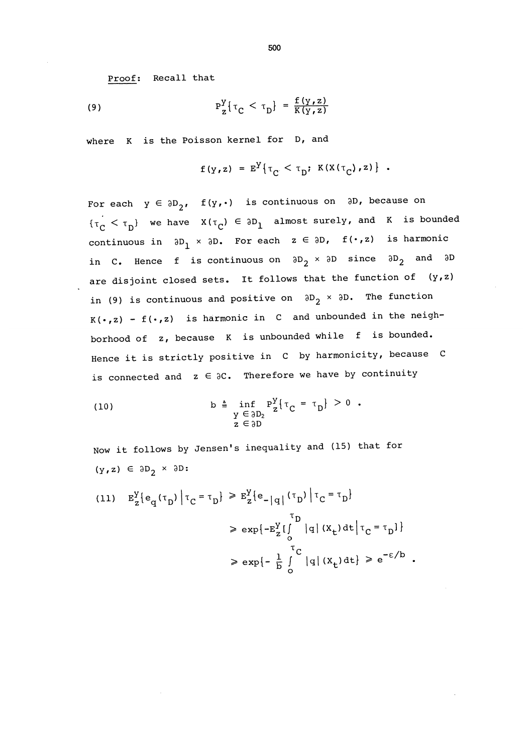Proof: Recall that

~

$$
P_Z^Y\{\tau_C < \tau_D\} = \frac{f(y, z)}{K(y, z)}
$$

where K is the Poisson kernel for D, and

$$
f(y,z) = E^Y \{ \tau_C < \tau_D; K(X(\tau_C), z) \} .
$$

For each  $y \in \partial D_2$ ,  $f(y, \cdot)$  is continuous on  $\partial D$ , because on  ${\{\tau_C < \tau_D\}}$  we have  $X(\tau_C) \in \partial D_1$  almost surely, and K is bounded continuous in  $\partial D_1 \times \partial D$ . For each  $z \in \partial D$ ,  $f(\cdot, z)$  is harmonic in C. Hence f is continuous on  $\partial D_2 \times \partial D$  since  $\partial D_2$  and  $\partial D$ are disjoint closed sets. It follows that the function of  $(y,z)$ in (9) is continuous and positive on  $\partial D_2 \times \partial D$ . The function  $K(\cdot,z)$  -  $f(\cdot,z)$  is harmonic in C and unbounded in the neighborhood of z, because K is unbounded while f is bounded. Hence it is strictly positive in C by harmonicity, because C is connected and  $z \in \partial C$ . Therefore we have by continuity

(10) 
$$
b \triangleq \inf_{\begin{array}{c} y \in \partial D_2 \\ z \in \partial D \end{array}} P_{\mathbf{Z}}^{\mathbf{Y}} \left\{ \tau_{\mathbf{C}} = \tau_{\mathbf{D}} \right\} > 0.
$$

Now it follows by Jensen's inequality and (15) that for  $(y, z) \in \partial D_2 \times \partial D$ :

(11) 
$$
E_{z}^{Y} \{e_{q}(\tau_{D}) | \tau_{C} = \tau_{D}\} \geq E_{z}^{Y} \{e_{-}|q| (\tau_{D}) | \tau_{C} = \tau_{D}\}
$$

$$
\geq e_{xp} \{-E_{z}^{Y} \{ \int_{0}^{\tau_{D}} |q| (x_{+}) dt | \tau_{C} = \tau_{D}\}
$$

$$
\geq e_{xp} \{-\frac{1}{b} \int_{0}^{\tau_{C}} |q| (x_{+}) dt \} \geq e^{-\epsilon/b} .
$$

500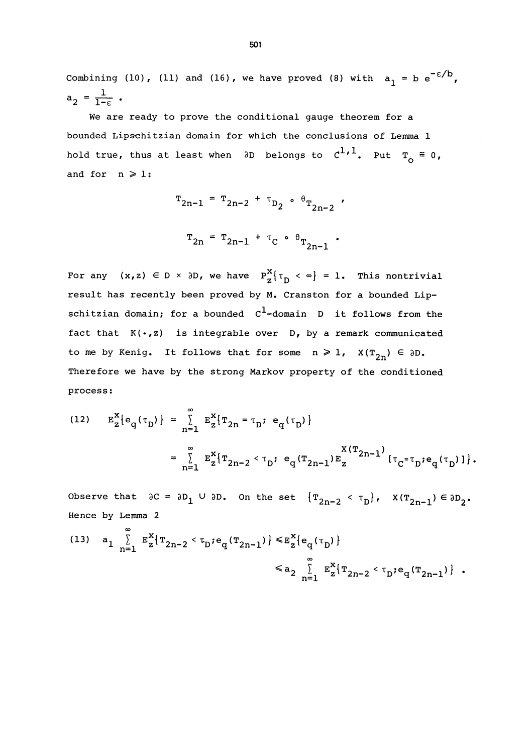Combining (10), (11) and (16), we have proved (8) with  $a_1 = b e^{-\epsilon/b}$ ,  $a_2 = \frac{1}{1-\epsilon}$ .

We are ready to prove the conditional gauge theorem for a bounded Lipschitzian domain for which the conclusions of Lemma 1 hold true, thus at least when  $\partial D$  belongs to  $C^{1,1}$ . Put  $T_{\rho} \equiv 0$ , and for  $n \geqslant 1$ :

$$
T_{2n-1} = T_{2n-2} + T_{D_2} \cdot \theta_{T_{2n-2}}
$$
  
 $T_{2n} = T_{2n-1} + T_C \cdot \theta_{T_{2n-1}}$ .

For any  $(x, z) \in D \times \partial D$ , we have  $P_{z}^{X} \{\tau_{D} \prec \infty\} = 1$ . This nontrivial result has recently been proved by M. Cranston for a bounded Lipschitzian domain; for a bounded  $c^1$ -domain D it follows from the fact that  $K(\cdot, z)$  is integrable over  $D$ , by a remark communicated to me by Kenig. It follows that for some  $n \ge 1$ ,  $X(T_{2n}) \in \partial D$ . Therefore we have by the strong Markov property of the conditioned process:

(12) 
$$
E_{z}^{X} \{e_{q}(\tau_{D})\} = \sum_{n=1}^{\infty} E_{z}^{X} \{\tau_{2n} = \tau_{D}; e_{q}(\tau_{D})\}
$$
  

$$
= \sum_{n=1}^{\infty} E_{z}^{X} \{\tau_{2n-2} < \tau_{D}; e_{q}(\tau_{2n-1}) E_{z}^{X} (\tau_{2n-1}) [\tau_{C} = \tau_{D}; e_{q}(\tau_{D})]\}.
$$

Observe that  ${}_{0}C = {}_{0}D_{1} \cup {}_{0}D$ . On the set  ${T_{2n-2} < T_D}$ ,  $X(T_{2n-1}) \in {}_{0}D_{2}$ .<br>Hence by Lemma 2

(13) 
$$
a_1 \sum_{n=1}^{\infty} E_{z}^{x} \{T_{2n-2} < \tau_{D} : e_{q}(T_{2n-1})\} \leq E_{z}^{x} \{e_{q}(\tau_{D})\}
$$
  

$$
\leq a_2 \sum_{n=1}^{\infty} E_{z}^{x} \{T_{2n-2} < \tau_{D} : e_{q}(T_{2n-1})\} .
$$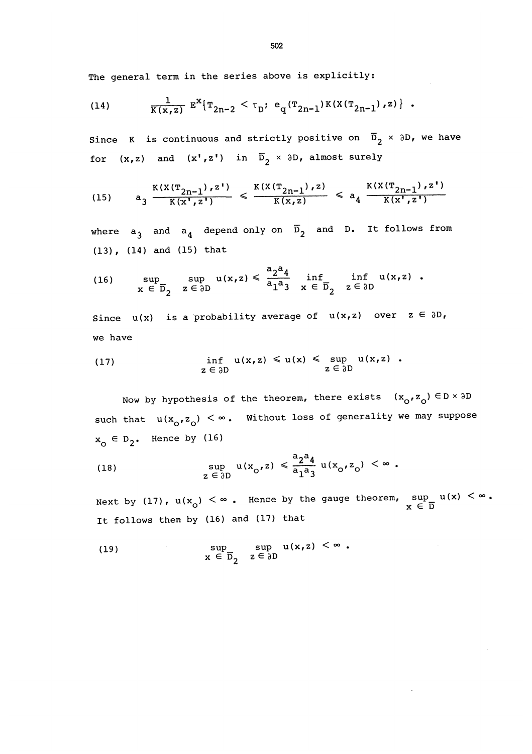The general term in the series above is explicitly:

(14) 
$$
\frac{1}{K(x,z)} E^{X} \{ T_{2n-2} < \tau_{D} : e_{q}(T_{2n-1}) K(X(T_{2n-1}), z) \} .
$$

Since K is continuous and strictly positive on  $\overline{D}_2$  x  $\partial D_r$ , we have for  $(x, z)$  and  $(x', z')$  in  $\overline{D}_2 \times \partial D$ , almost surely

$$
(15) \qquad a_3 \frac{K(X(T_{2n-1}), z')}{K(x', z')} \leq \frac{K(X(T_{2n-1}), z)}{K(x, z)} \leq a_4 \frac{K(X(T_{2n-1}), z')}{K(x', z')}
$$

where  $a_{\hat{3}}$  and  $a_{\hat{4}}$  depend only on  $\bar{D}_2$  and D. It follows from (13), (14) and (15) that

(16) 
$$
\sup_{x \in \overline{D}_2} \sup_{z \in \partial D} u(x,z) \leq \frac{a_2 a_4}{a_1 a_3} \inf_{x \in \overline{D}_2} \inf_{z \in \partial D} u(x,z).
$$

Since  $u(x)$  is a probability average of  $u(x,z)$  over  $z \in \partial D$ , we have

(17) 
$$
\inf u(x, z) \leq u(x) \leq \sup z \in \partial D
$$
   
  $z \in \partial D$   $z \in \partial D$ 

Now by hypothesis of the theorem, there exists  $(x_0, z_0) \in D \times 3D$ such that  $u(x_0, z_0) < \infty$ . Without loss of generality we may suppose  $x_0 \in D_2$ . Hence by (16)

(18) 
$$
\sup_{z \in \partial D} u(x_0, z) \leq \frac{a_2 a_4}{a_1 a_3} u(x_0, z_0) < \infty.
$$

Next by (17),  $u(x_0) < \infty$ . Hence by the gauge theorem, sup  $u(x) < \infty$ .<br>  $x \in \overline{D}$ It follows then by (16) and (17) that

(19) 
$$
\sup_{x \in \overline{D}_2} \sup_{z \in \partial D} u(x, z) < \infty.
$$